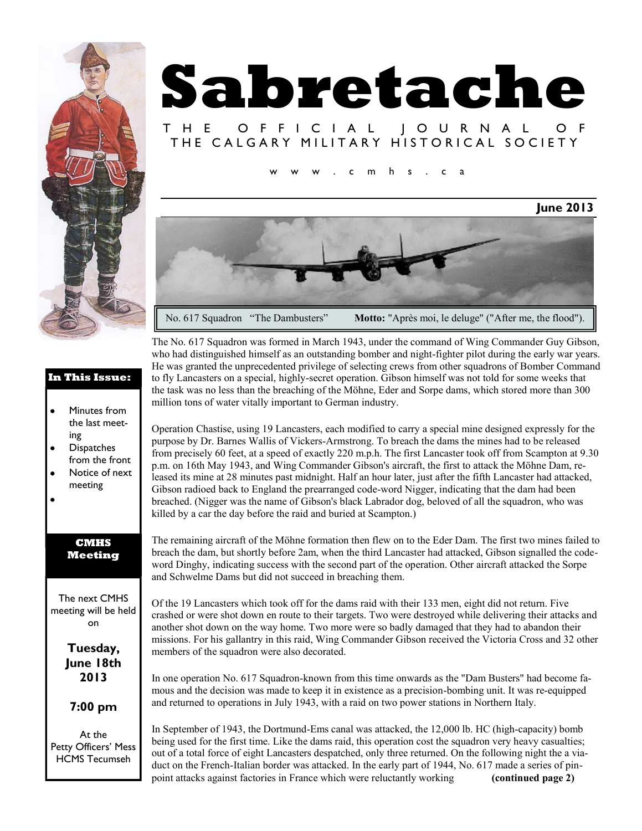

## **Sabretache** T H E O F F I C I A L J O U R N A L

### THE CALGARY MILITARY HISTORICAL SOCIETY

 $m$  h s . c a

# **June 2013** No. 617 Squadron "The Dambusters" Motto: "Après moi, le deluge" ("After me, the flood").

The No. 617 Squadron was formed in March 1943, under the command of Wing Commander Guy Gibson, who had distinguished himself as an outstanding bomber and night-fighter pilot during the early war years. He was granted the unprecedented privilege of selecting crews from other squadrons of Bomber Command to fly Lancasters on a special, highly-secret operation. Gibson himself was not told for some weeks that the task was no less than the breaching of the Möhne, Eder and Sorpe dams, which stored more than 300 million tons of water vitally important to German industry.

Operation Chastise, using 19 Lancasters, each modified to carry a special mine designed expressly for the purpose by Dr. Barnes Wallis of Vickers-Armstrong. To breach the dams the mines had to be released from precisely 60 feet, at a speed of exactly 220 m.p.h. The first Lancaster took off from Scampton at 9.30 p.m. on 16th May 1943, and Wing Commander Gibson's aircraft, the first to attack the Möhne Dam, released its mine at 28 minutes past midnight. Half an hour later, just after the fifth Lancaster had attacked, Gibson radioed back to England the prearranged code-word Nigger, indicating that the dam had been breached. (Nigger was the name of Gibson's black Labrador dog, beloved of all the squadron, who was killed by a car the day before the raid and buried at Scampton.)

The remaining aircraft of the Möhne formation then flew on to the Eder Dam. The first two mines failed to breach the dam, but shortly before 2am, when the third Lancaster had attacked, Gibson signalled the codeword Dinghy, indicating success with the second part of the operation. Other aircraft attacked the Sorpe and Schwelme Dams but did not succeed in breaching them.

Of the 19 Lancasters which took off for the dams raid with their 133 men, eight did not return. Five crashed or were shot down en route to their targets. Two were destroyed while delivering their attacks and another shot down on the way home. Two more were so badly damaged that they had to abandon their missions. For his gallantry in this raid, Wing Commander Gibson received the Victoria Cross and 32 other members of the squadron were also decorated.

In one operation No. 617 Squadron-known from this time onwards as the "Dam Busters" had become famous and the decision was made to keep it in existence as a precision-bombing unit. It was re-equipped and returned to operations in July 1943, with a raid on two power stations in Northern Italy.

In September of 1943, the Dortmund-Ems canal was attacked, the 12,000 lb. HC (high-capacity) bomb being used for the first time. Like the dams raid, this operation cost the squadron very heavy casualties; out of a total force of eight Lancasters despatched, only three returned. On the following night the a viaduct on the French-Italian border was attacked. In the early part of 1944, No. 617 made a series of pinpoint attacks against factories in France which were reluctantly working **(continued page 2)**

#### **In This Issue:**

- $\bullet$ Minutes from the last meeting
- **Dispatches** from the front
- Notice of next meeting
- 

#### **CMHS Meeting**

The next CMHS meeting will be held on

> **Tuesday, June 18th 2013**

**7:00 pm**

At the Petty Officers' Mess HCMS Tecumseh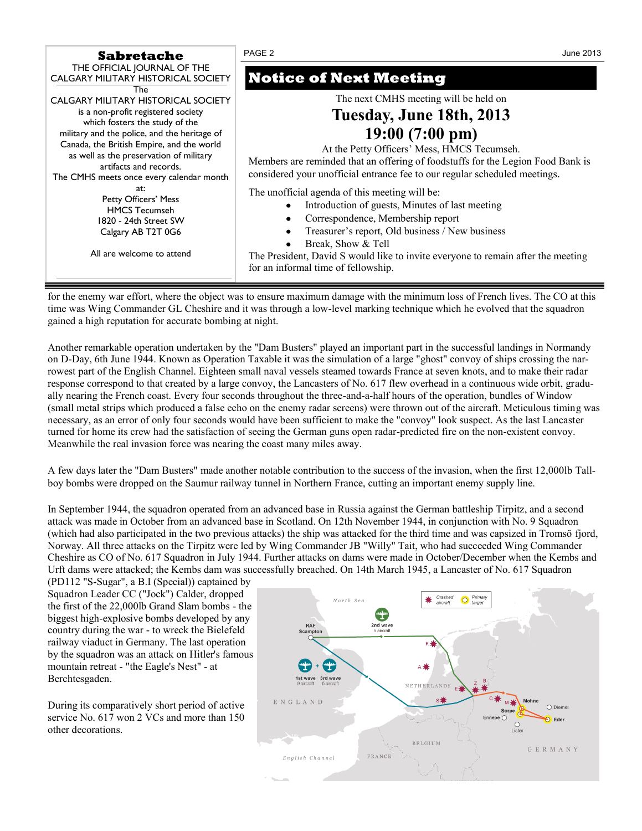| <b>Sabretache</b>                                                                                                                                                                                                                                                                                                         | PAGE <sub>2</sub><br>June 2013                                                                                                                                                                                                                                                                                                                               |
|---------------------------------------------------------------------------------------------------------------------------------------------------------------------------------------------------------------------------------------------------------------------------------------------------------------------------|--------------------------------------------------------------------------------------------------------------------------------------------------------------------------------------------------------------------------------------------------------------------------------------------------------------------------------------------------------------|
| THE OFFICIAL JOURNAL OF THE<br>CALGARY MILITARY HISTORICAL SOCIETY<br>The                                                                                                                                                                                                                                                 | <b>Notice of Next Meeting</b>                                                                                                                                                                                                                                                                                                                                |
| CALGARY MILITARY HISTORICAL SOCIETY<br>is a non-profit registered society<br>which fosters the study of the<br>military and the police, and the heritage of<br>Canada, the British Empire, and the world<br>as well as the preservation of military<br>artifacts and records.<br>The CMHS meets once every calendar month | The next CMHS meeting will be held on<br>Tuesday, June 18th, 2013<br>19:00(7:00 pm)<br>At the Petty Officers' Mess, HMCS Tecumseh.<br>Members are reminded that an offering of foodstuffs for the Legion Food Bank is<br>considered your unofficial entrance fee to our regular scheduled meetings.                                                          |
| at:<br>Petty Officers' Mess<br><b>HMCS Tecumseh</b><br>1820 - 24th Street SW<br>Calgary AB T2T 0G6<br>All are welcome to attend                                                                                                                                                                                           | The unofficial agenda of this meeting will be:<br>Introduction of guests, Minutes of last meeting<br>٠<br>Correspondence, Membership report<br>Treasurer's report, Old business / New business<br>Break, Show & Tell<br>$\bullet$<br>The President, David S would like to invite everyone to remain after the meeting<br>for an informal time of fellowship. |

for the enemy war effort, where the object was to ensure maximum damage with the minimum loss of French lives. The CO at this time was Wing Commander GL Cheshire and it was through a low-level marking technique which he evolved that the squadron gained a high reputation for accurate bombing at night.

Another remarkable operation undertaken by the "Dam Busters" played an important part in the successful landings in Normandy on D-Day, 6th June 1944. Known as Operation Taxable it was the simulation of a large "ghost" convoy of ships crossing the narrowest part of the English Channel. Eighteen small naval vessels steamed towards France at seven knots, and to make their radar response correspond to that created by a large convoy, the Lancasters of No. 617 flew overhead in a continuous wide orbit, gradually nearing the French coast. Every four seconds throughout the three-and-a-half hours of the operation, bundles of Window (small metal strips which produced a false echo on the enemy radar screens) were thrown out of the aircraft. Meticulous timing was necessary, as an error of only four seconds would have been sufficient to make the "convoy" look suspect. As the last Lancaster turned for home its crew had the satisfaction of seeing the German guns open radar-predicted fire on the non-existent convoy. Meanwhile the real invasion force was nearing the coast many miles away.

A few days later the "Dam Busters" made another notable contribution to the success of the invasion, when the first 12,000lb Tallboy bombs were dropped on the Saumur railway tunnel in Northern France, cutting an important enemy supply line.

In September 1944, the squadron operated from an advanced base in Russia against the German battleship Tirpitz, and a second attack was made in October from an advanced base in Scotland. On 12th November 1944, in conjunction with No. 9 Squadron (which had also participated in the two previous attacks) the ship was attacked for the third time and was capsized in Tromsö fjord, Norway. All three attacks on the Tirpitz were led by Wing Commander JB "Willy" Tait, who had succeeded Wing Commander Cheshire as CO of No. 617 Squadron in July 1944. Further attacks on dams were made in October/December when the Kembs and Urft dams were attacked; the Kembs dam was successfully breached. On 14th March 1945, a Lancaster of No. 617 Squadron

(PD112 "S-Sugar", a B.I (Special)) captained by Squadron Leader CC ("Jock") Calder, dropped the first of the 22,000lb Grand Slam bombs - the biggest high-explosive bombs developed by any country during the war - to wreck the Bielefeld railway viaduct in Germany. The last operation by the squadron was an attack on Hitler's famous mountain retreat - "the Eagle's Nest" - at Berchtesgaden.

During its comparatively short period of active service No. 617 won 2 VCs and more than 150 other decorations.

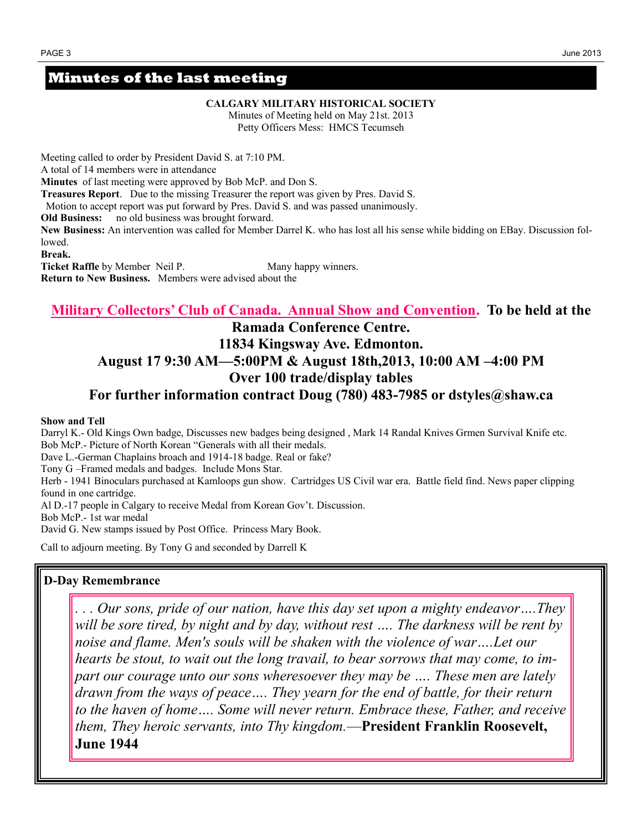#### **Minutes of the last meeting**

**CALGARY MILITARY HISTORICAL SOCIETY**

Minutes of Meeting held on May 21st. 2013 Petty Officers Mess: HMCS Tecumseh

Meeting called to order by President David S. at 7:10 PM. A total of 14 members were in attendance **Minutes** of last meeting were approved by Bob McP. and Don S. **Treasures Report**. Due to the missing Treasurer the report was given by Pres. David S. Motion to accept report was put forward by Pres. David S. and was passed unanimously. **Old Business:** no old business was brought forward.

**New Business:** An intervention was called for Member Darrel K. who has lost all his sense while bidding on EBay. Discussion followed.

**Break.** 

**Ticket Raffle** by Member Neil P. Many happy winners. **Return to New Business.** Members were advised about the

#### **Military Collectors' Club of Canada. Annual Show and Convention. To be held at the**

#### **Ramada Conference Centre.**

#### **11834 Kingsway Ave. Edmonton.**

#### **August 17 9:30 AM—5:00PM & August 18th,2013, 10:00 AM –4:00 PM Over 100 trade/display tables**

#### **For further information contract Doug (780) 483-7985 or dstyles@shaw.ca**

#### **Show and Tell**

Darryl K.- Old Kings Own badge, Discusses new badges being designed , Mark 14 Randal Knives Grmen Survival Knife etc. Bob McP.- Picture of North Korean "Generals with all their medals.

Dave L.-German Chaplains broach and 1914-18 badge. Real or fake?

Tony G –Framed medals and badges. Include Mons Star.

Herb - 1941 Binoculars purchased at Kamloops gun show. Cartridges US Civil war era. Battle field find. News paper clipping found in one cartridge.

Al D.-17 people in Calgary to receive Medal from Korean Gov't. Discussion.

Bob McP.- 1st war medal

David G. New stamps issued by Post Office. Princess Mary Book.

Call to adjourn meeting. By Tony G and seconded by Darrell K

#### **D-Day Remembrance**

*. . . Our sons, pride of our nation, have this day set upon a mighty endeavor….They will be sore tired, by night and by day, without rest …. The darkness will be rent by*  noise and flame. Men's souls will be shaken with the violence of war....Let our *hearts be stout, to wait out the long travail, to bear sorrows that may come, to impart our courage unto our sons wheresoever they may be …. These men are lately drawn from the ways of peace…. They yearn for the end of battle, for their return to the haven of home…. Some will never return. Embrace these, Father, and receive them, They heroic servants, into Thy kingdom.*—**President Franklin Roosevelt, June 1944**